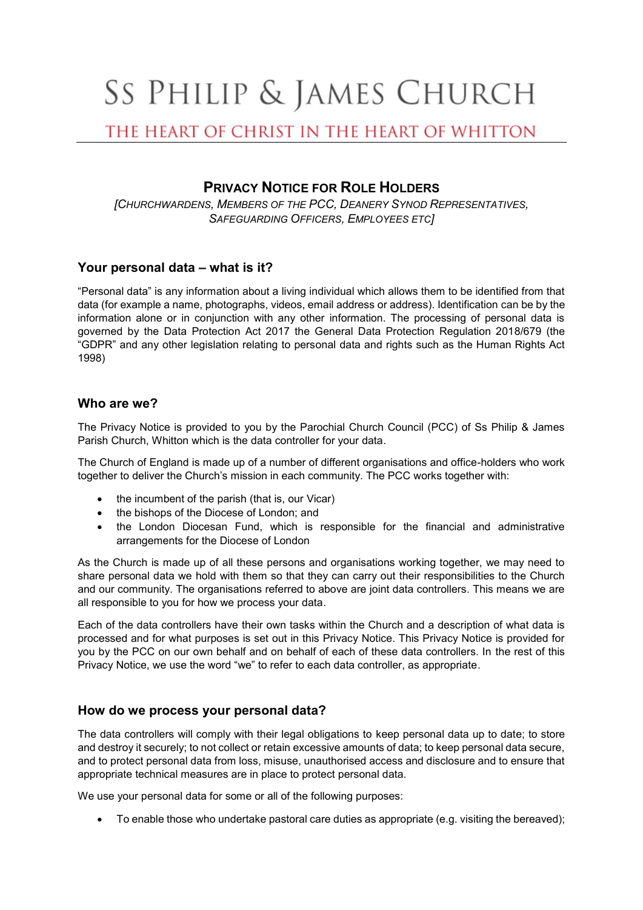# SS PHILIP & JAMES CHURCH

# THE HEART OF CHRIST IN THE HEART OF WHITTON

# **PRIVACY NOTICE FOR ROLE HOLDERS**

*[CHURCHWARDENS, MEMBERS OF THE PCC, DEANERY SYNOD REPRESENTATIVES, SAFEGUARDING OFFICERS, EMPLOYEES ETC]*

# **Your personal data – what is it?**

"Personal data" is any information about a living individual which allows them to be identified from that data (for example a name, photographs, videos, email address or address). Identification can be by the information alone or in conjunction with any other information. The processing of personal data is governed by the Data Protection Act 2017 the General Data Protection Regulation 2018/679 (the "GDPR" and any other legislation relating to personal data and rights such as the Human Rights Act 1998)

#### **Who are we?**

The Privacy Notice is provided to you by the Parochial Church Council (PCC) of Ss Philip & James Parish Church, Whitton which is the data controller for your data.

The Church of England is made up of a number of different organisations and office-holders who work together to deliver the Church's mission in each community. The PCC works together with:

- the incumbent of the parish (that is, our Vicar)
- the bishops of the Diocese of London; and
- the London Diocesan Fund, which is responsible for the financial and administrative arrangements for the Diocese of London

As the Church is made up of all these persons and organisations working together, we may need to share personal data we hold with them so that they can carry out their responsibilities to the Church and our community. The organisations referred to above are joint data controllers. This means we are all responsible to you for how we process your data.

Each of the data controllers have their own tasks within the Church and a description of what data is processed and for what purposes is set out in this Privacy Notice. This Privacy Notice is provided for you by the PCC on our own behalf and on behalf of each of these data controllers. In the rest of this Privacy Notice, we use the word "we" to refer to each data controller, as appropriate.

# **How do we process your personal data?**

The data controllers will comply with their legal obligations to keep personal data up to date; to store and destroy it securely; to not collect or retain excessive amounts of data; to keep personal data secure, and to protect personal data from loss, misuse, unauthorised access and disclosure and to ensure that appropriate technical measures are in place to protect personal data.

We use your personal data for some or all of the following purposes:

• To enable those who undertake pastoral care duties as appropriate (e.g. visiting the bereaved);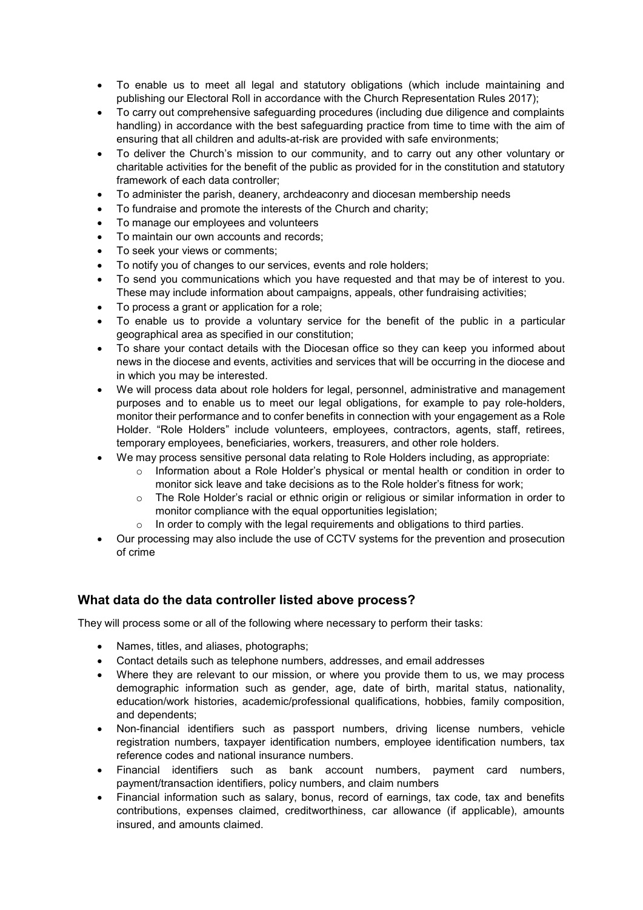- To enable us to meet all legal and statutory obligations (which include maintaining and publishing our Electoral Roll in accordance with the Church Representation Rules 2017);
- To carry out comprehensive safeguarding procedures (including due diligence and complaints handling) in accordance with the best safeguarding practice from time to time with the aim of ensuring that all children and adults-at-risk are provided with safe environments;
- To deliver the Church's mission to our community, and to carry out any other voluntary or charitable activities for the benefit of the public as provided for in the constitution and statutory framework of each data controller;
- To administer the parish, deanery, archdeaconry and diocesan membership needs
- To fundraise and promote the interests of the Church and charity;
- To manage our employees and volunteers
- To maintain our own accounts and records;
- To seek your views or comments;
- To notify you of changes to our services, events and role holders;
- To send you communications which you have requested and that may be of interest to you. These may include information about campaigns, appeals, other fundraising activities;
- To process a grant or application for a role;
- To enable us to provide a voluntary service for the benefit of the public in a particular geographical area as specified in our constitution;
- To share your contact details with the Diocesan office so they can keep you informed about news in the diocese and events, activities and services that will be occurring in the diocese and in which you may be interested.
- We will process data about role holders for legal, personnel, administrative and management purposes and to enable us to meet our legal obligations, for example to pay role-holders, monitor their performance and to confer benefits in connection with your engagement as a Role Holder. "Role Holders" include volunteers, employees, contractors, agents, staff, retirees, temporary employees, beneficiaries, workers, treasurers, and other role holders.
	- We may process sensitive personal data relating to Role Holders including, as appropriate:
		- $\circ$  Information about a Role Holder's physical or mental health or condition in order to monitor sick leave and take decisions as to the Role holder's fitness for work;
		- $\circ$  The Role Holder's racial or ethnic origin or religious or similar information in order to monitor compliance with the equal opportunities legislation;
		- $\circ$  In order to comply with the legal requirements and obligations to third parties.
- Our processing may also include the use of CCTV systems for the prevention and prosecution of crime

# **What data do the data controller listed above process?**

They will process some or all of the following where necessary to perform their tasks:

- Names, titles, and aliases, photographs;
- Contact details such as telephone numbers, addresses, and email addresses
- Where they are relevant to our mission, or where you provide them to us, we may process demographic information such as gender, age, date of birth, marital status, nationality, education/work histories, academic/professional qualifications, hobbies, family composition, and dependents;
- Non-financial identifiers such as passport numbers, driving license numbers, vehicle registration numbers, taxpayer identification numbers, employee identification numbers, tax reference codes and national insurance numbers.
- Financial identifiers such as bank account numbers, payment card numbers, payment/transaction identifiers, policy numbers, and claim numbers
- Financial information such as salary, bonus, record of earnings, tax code, tax and benefits contributions, expenses claimed, creditworthiness, car allowance (if applicable), amounts insured, and amounts claimed.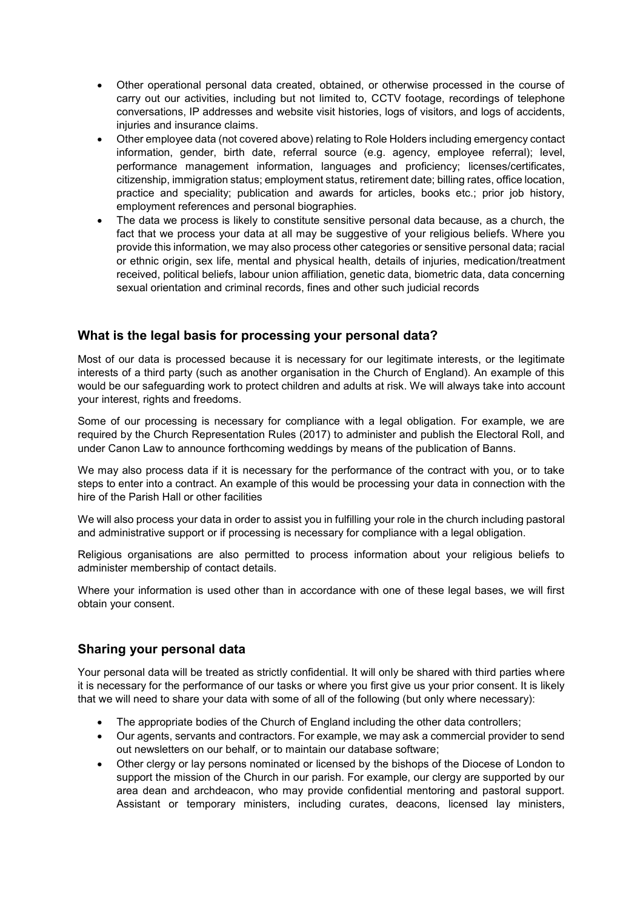- Other operational personal data created, obtained, or otherwise processed in the course of carry out our activities, including but not limited to, CCTV footage, recordings of telephone conversations, IP addresses and website visit histories, logs of visitors, and logs of accidents, injuries and insurance claims.
- Other employee data (not covered above) relating to Role Holders including emergency contact information, gender, birth date, referral source (e.g. agency, employee referral); level, performance management information, languages and proficiency; licenses/certificates, citizenship, immigration status; employment status, retirement date; billing rates, office location, practice and speciality; publication and awards for articles, books etc.; prior job history, employment references and personal biographies.
- The data we process is likely to constitute sensitive personal data because, as a church, the fact that we process your data at all may be suggestive of your religious beliefs. Where you provide this information, we may also process other categories or sensitive personal data; racial or ethnic origin, sex life, mental and physical health, details of injuries, medication/treatment received, political beliefs, labour union affiliation, genetic data, biometric data, data concerning sexual orientation and criminal records, fines and other such judicial records

# **What is the legal basis for processing your personal data?**

Most of our data is processed because it is necessary for our legitimate interests, or the legitimate interests of a third party (such as another organisation in the Church of England). An example of this would be our safeguarding work to protect children and adults at risk. We will always take into account your interest, rights and freedoms.

Some of our processing is necessary for compliance with a legal obligation. For example, we are required by the Church Representation Rules (2017) to administer and publish the Electoral Roll, and under Canon Law to announce forthcoming weddings by means of the publication of Banns.

We may also process data if it is necessary for the performance of the contract with you, or to take steps to enter into a contract. An example of this would be processing your data in connection with the hire of the Parish Hall or other facilities

We will also process your data in order to assist you in fulfilling your role in the church including pastoral and administrative support or if processing is necessary for compliance with a legal obligation.

Religious organisations are also permitted to process information about your religious beliefs to administer membership of contact details.

Where your information is used other than in accordance with one of these legal bases, we will first obtain your consent.

#### **Sharing your personal data**

Your personal data will be treated as strictly confidential. It will only be shared with third parties where it is necessary for the performance of our tasks or where you first give us your prior consent. It is likely that we will need to share your data with some of all of the following (but only where necessary):

- The appropriate bodies of the Church of England including the other data controllers;
- Our agents, servants and contractors. For example, we may ask a commercial provider to send out newsletters on our behalf, or to maintain our database software;
- Other clergy or lay persons nominated or licensed by the bishops of the Diocese of London to support the mission of the Church in our parish. For example, our clergy are supported by our area dean and archdeacon, who may provide confidential mentoring and pastoral support. Assistant or temporary ministers, including curates, deacons, licensed lay ministers,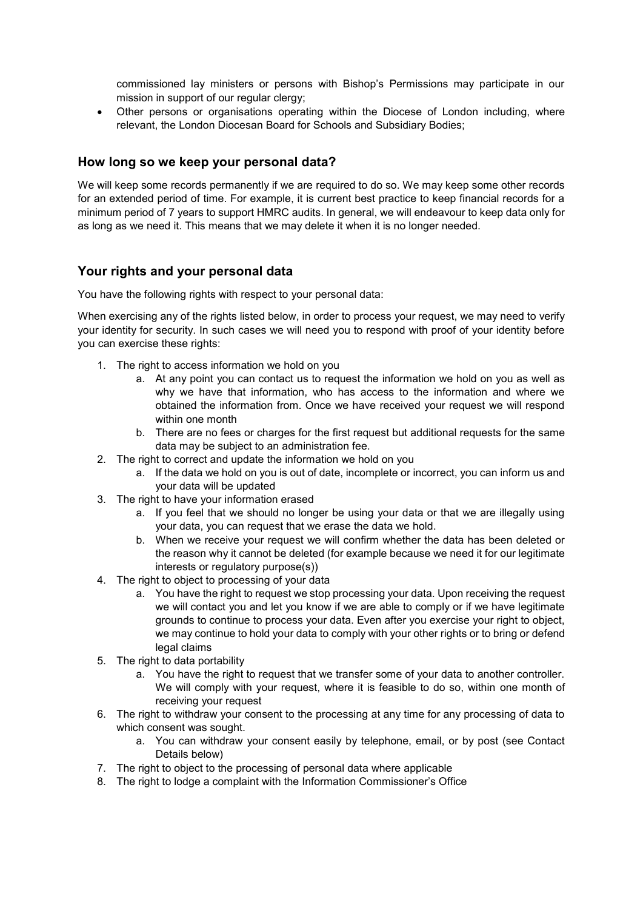commissioned lay ministers or persons with Bishop's Permissions may participate in our mission in support of our regular clergy;

• Other persons or organisations operating within the Diocese of London including, where relevant, the London Diocesan Board for Schools and Subsidiary Bodies;

#### **How long so we keep your personal data?**

We will keep some records permanently if we are required to do so. We may keep some other records for an extended period of time. For example, it is current best practice to keep financial records for a minimum period of 7 years to support HMRC audits. In general, we will endeavour to keep data only for as long as we need it. This means that we may delete it when it is no longer needed.

# **Your rights and your personal data**

You have the following rights with respect to your personal data:

When exercising any of the rights listed below, in order to process your request, we may need to verify your identity for security. In such cases we will need you to respond with proof of your identity before you can exercise these rights:

- 1. The right to access information we hold on you
	- a. At any point you can contact us to request the information we hold on you as well as why we have that information, who has access to the information and where we obtained the information from. Once we have received your request we will respond within one month
	- b. There are no fees or charges for the first request but additional requests for the same data may be subject to an administration fee.
- 2. The right to correct and update the information we hold on you
	- a. If the data we hold on you is out of date, incomplete or incorrect, you can inform us and your data will be updated
- 3. The right to have your information erased
	- a. If you feel that we should no longer be using your data or that we are illegally using your data, you can request that we erase the data we hold.
	- b. When we receive your request we will confirm whether the data has been deleted or the reason why it cannot be deleted (for example because we need it for our legitimate interests or regulatory purpose(s))
- 4. The right to object to processing of your data
	- a. You have the right to request we stop processing your data. Upon receiving the request we will contact you and let you know if we are able to comply or if we have legitimate grounds to continue to process your data. Even after you exercise your right to object, we may continue to hold your data to comply with your other rights or to bring or defend legal claims
- 5. The right to data portability
	- a. You have the right to request that we transfer some of your data to another controller. We will comply with your request, where it is feasible to do so, within one month of receiving your request
- 6. The right to withdraw your consent to the processing at any time for any processing of data to which consent was sought.
	- a. You can withdraw your consent easily by telephone, email, or by post (see Contact Details below)
- 7. The right to object to the processing of personal data where applicable
- 8. The right to lodge a complaint with the Information Commissioner's Office